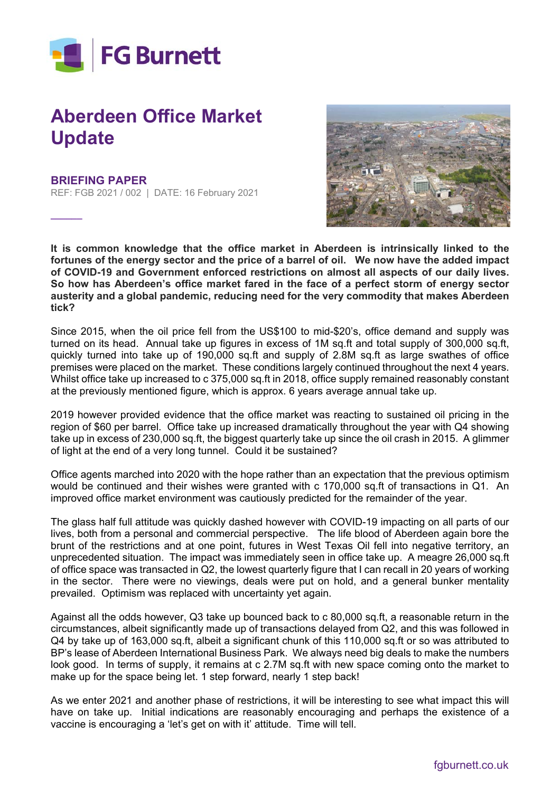

## **Aberdeen Office Market Update**

## **BRIEFING PAPER**

**\_\_\_\_\_\_**

REF: FGB 2021 / 002 | DATE: 16 February 2021



**It is common knowledge that the office market in Aberdeen is intrinsically linked to the fortunes of the energy sector and the price of a barrel of oil. We now have the added impact of COVID-19 and Government enforced restrictions on almost all aspects of our daily lives. So how has Aberdeen's office market fared in the face of a perfect storm of energy sector austerity and a global pandemic, reducing need for the very commodity that makes Aberdeen tick?** 

Since 2015, when the oil price fell from the US\$100 to mid-\$20's, office demand and supply was turned on its head. Annual take up figures in excess of 1M sq.ft and total supply of 300,000 sq.ft, quickly turned into take up of 190,000 sq.ft and supply of 2.8M sq.ft as large swathes of office premises were placed on the market. These conditions largely continued throughout the next 4 years. Whilst office take up increased to c 375,000 sq.ft in 2018, office supply remained reasonably constant at the previously mentioned figure, which is approx. 6 years average annual take up.

2019 however provided evidence that the office market was reacting to sustained oil pricing in the region of \$60 per barrel. Office take up increased dramatically throughout the year with Q4 showing take up in excess of 230,000 sq.ft, the biggest quarterly take up since the oil crash in 2015. A glimmer of light at the end of a very long tunnel. Could it be sustained?

Office agents marched into 2020 with the hope rather than an expectation that the previous optimism would be continued and their wishes were granted with c 170,000 sq.ft of transactions in Q1. An improved office market environment was cautiously predicted for the remainder of the year.

The glass half full attitude was quickly dashed however with COVID-19 impacting on all parts of our lives, both from a personal and commercial perspective. The life blood of Aberdeen again bore the brunt of the restrictions and at one point, futures in West Texas Oil fell into negative territory, an unprecedented situation. The impact was immediately seen in office take up. A meagre 26,000 sq.ft of office space was transacted in Q2, the lowest quarterly figure that I can recall in 20 years of working in the sector. There were no viewings, deals were put on hold, and a general bunker mentality prevailed. Optimism was replaced with uncertainty yet again.

Against all the odds however, Q3 take up bounced back to c 80,000 sq.ft, a reasonable return in the circumstances, albeit significantly made up of transactions delayed from Q2, and this was followed in Q4 by take up of 163,000 sq.ft, albeit a significant chunk of this 110,000 sq.ft or so was attributed to BP's lease of Aberdeen International Business Park. We always need big deals to make the numbers look good. In terms of supply, it remains at c 2.7M sq.ft with new space coming onto the market to make up for the space being let. 1 step forward, nearly 1 step back!

As we enter 2021 and another phase of restrictions, it will be interesting to see what impact this will have on take up. Initial indications are reasonably encouraging and perhaps the existence of a vaccine is encouraging a 'let's get on with it' attitude. Time will tell.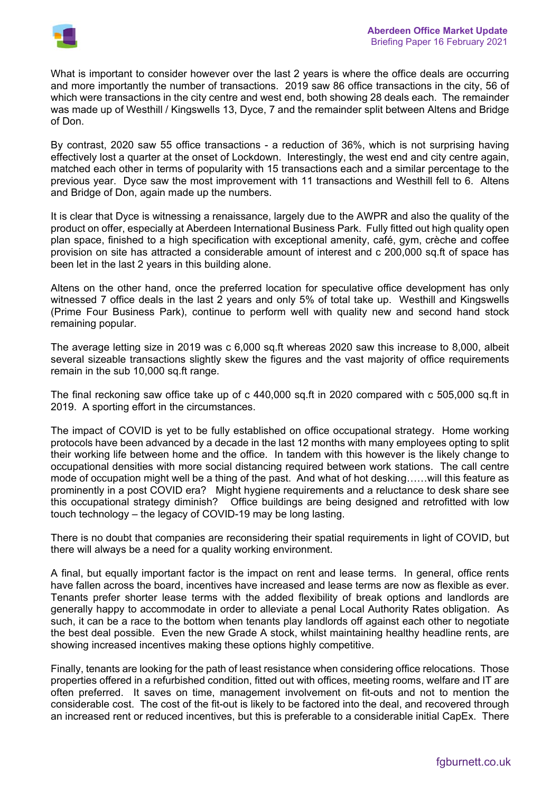

What is important to consider however over the last 2 years is where the office deals are occurring and more importantly the number of transactions. 2019 saw 86 office transactions in the city, 56 of which were transactions in the city centre and west end, both showing 28 deals each. The remainder was made up of Westhill / Kingswells 13, Dyce, 7 and the remainder split between Altens and Bridge of Don.

By contrast, 2020 saw 55 office transactions - a reduction of 36%, which is not surprising having effectively lost a quarter at the onset of Lockdown. Interestingly, the west end and city centre again, matched each other in terms of popularity with 15 transactions each and a similar percentage to the previous year. Dyce saw the most improvement with 11 transactions and Westhill fell to 6. Altens and Bridge of Don, again made up the numbers.

It is clear that Dyce is witnessing a renaissance, largely due to the AWPR and also the quality of the product on offer, especially at Aberdeen International Business Park. Fully fitted out high quality open plan space, finished to a high specification with exceptional amenity, café, gym, crèche and coffee provision on site has attracted a considerable amount of interest and c 200,000 sq.ft of space has been let in the last 2 years in this building alone.

Altens on the other hand, once the preferred location for speculative office development has only witnessed 7 office deals in the last 2 years and only 5% of total take up. Westhill and Kingswells (Prime Four Business Park), continue to perform well with quality new and second hand stock remaining popular.

The average letting size in 2019 was c 6,000 sq.ft whereas 2020 saw this increase to 8,000, albeit several sizeable transactions slightly skew the figures and the vast majority of office requirements remain in the sub 10,000 sq.ft range.

The final reckoning saw office take up of c 440,000 sq.ft in 2020 compared with c 505,000 sq.ft in 2019. A sporting effort in the circumstances.

The impact of COVID is yet to be fully established on office occupational strategy. Home working protocols have been advanced by a decade in the last 12 months with many employees opting to split their working life between home and the office. In tandem with this however is the likely change to occupational densities with more social distancing required between work stations. The call centre mode of occupation might well be a thing of the past. And what of hot desking……will this feature as prominently in a post COVID era? Might hygiene requirements and a reluctance to desk share see this occupational strategy diminish? Office buildings are being designed and retrofitted with low touch technology – the legacy of COVID-19 may be long lasting.

There is no doubt that companies are reconsidering their spatial requirements in light of COVID, but there will always be a need for a quality working environment.

A final, but equally important factor is the impact on rent and lease terms. In general, office rents have fallen across the board, incentives have increased and lease terms are now as flexible as ever. Tenants prefer shorter lease terms with the added flexibility of break options and landlords are generally happy to accommodate in order to alleviate a penal Local Authority Rates obligation. As such, it can be a race to the bottom when tenants play landlords off against each other to negotiate the best deal possible. Even the new Grade A stock, whilst maintaining healthy headline rents, are showing increased incentives making these options highly competitive.

Finally, tenants are looking for the path of least resistance when considering office relocations. Those properties offered in a refurbished condition, fitted out with offices, meeting rooms, welfare and IT are often preferred. It saves on time, management involvement on fit-outs and not to mention the considerable cost. The cost of the fit-out is likely to be factored into the deal, and recovered through an increased rent or reduced incentives, but this is preferable to a considerable initial CapEx. There